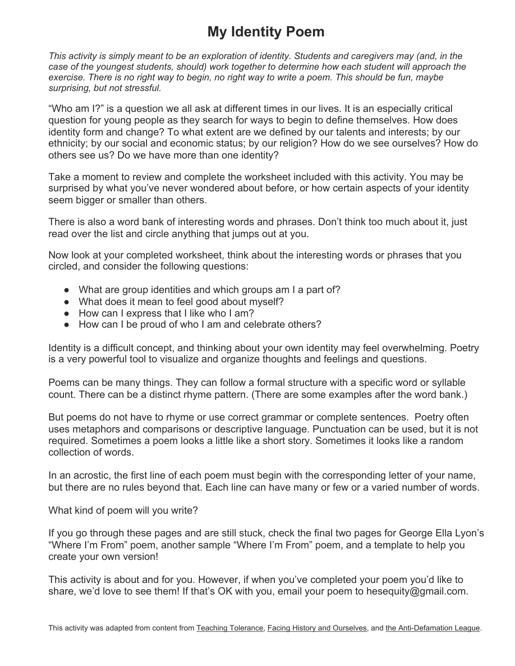# **My Identity Poem**

This activity is simply meant to be an exploration of identity. Students and caregivers may (and, in the *case of the youngest students, should) work together to determine how each student will approach the* exercise. There is no right way to begin, no right way to write a poem. This should be fun, maybe *surprising, but not stressful.*

"Who am I?" is a question we all ask at different times in our lives. It is an especially critical question for young people as they search for ways to begin to define themselves. How does identity form and change? To what extent are we defined by our talents and interests; by our ethnicity; by our social and economic status; by our religion? How do we see ourselves? How do others see us? Do we have more than one identity?

Take a moment to review and complete the worksheet included with this activity. You may be surprised by what you've never wondered about before, or how certain aspects of your identity seem bigger or smaller than others.

There is also a word bank of interesting words and phrases. Don't think too much about it, just read over the list and circle anything that jumps out at you.

Now look at your completed worksheet, think about the interesting words or phrases that you circled, and consider the following questions:

- What are group identities and which groups am I a part of?
- What does it mean to feel good about myself?
- How can I express that I like who I am?
- How can I be proud of who I am and celebrate others?

Identity is a difficult concept, and thinking about your own identity may feel overwhelming. Poetry is a very powerful tool to visualize and organize thoughts and feelings and questions.

Poems can be many things. They can follow a formal structure with a specific word or syllable count. There can be a distinct rhyme pattern. (There are some examples after the word bank.)

But poems do not have to rhyme or use correct grammar or complete sentences. Poetry often uses metaphors and comparisons or descriptive language. Punctuation can be used, but it is not required. Sometimes a poem looks a little like a short story. Sometimes it looks like a random collection of words.

In an acrostic, the first line of each poem must begin with the corresponding letter of your name, but there are no rules beyond that. Each line can have many or few or a varied number of words.

What kind of poem will you write?

If you go through these pages and are still stuck, check the final two pages for George Ella Lyon's "Where I'm From" poem, another sample "Where I'm From" poem, and a template to help you create your own version!

This activity is about and for you. However, if when you've completed your poem you'd like to share, we'd love to see them! If that's OK with you, email your poem to hesequity@gmail.com.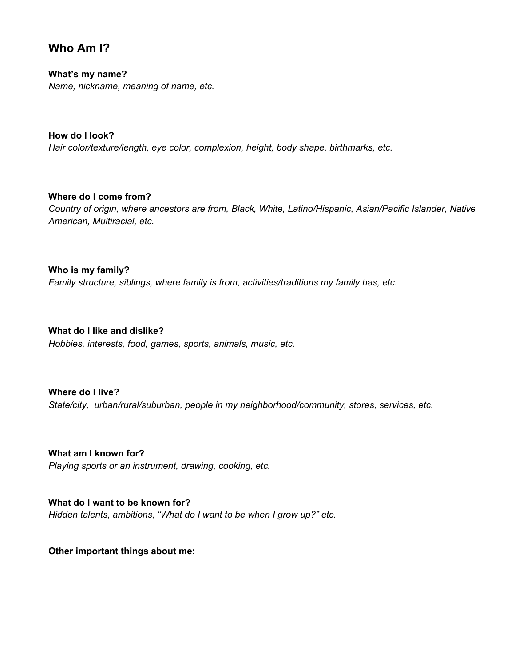## **Who Am I?**

**What's my name?** *Name, nickname, meaning of name, etc.*

**How do I look?** *Hair color/texture/length, eye color, complexion, height, body shape, birthmarks, etc.*

#### **Where do I come from?**

*Country of origin, where ancestors are from, Black, White, Latino/Hispanic, Asian/Pacific Islander, Native American, Multiracial, etc.*

### **Who is my family?** *Family structure, siblings, where family is from, activities/traditions my family has, etc.*

**What do I like and dislike?** *Hobbies, interests, food, games, sports, animals, music, etc.*

#### **Where do I live?** *State/city, urban/rural/suburban, people in my neighborhood/community, stores, services, etc.*

**What am I known for?** *Playing sports or an instrument, drawing, cooking, etc.*

#### **What do I want to be known for?** *Hidden talents, ambitions, "What do I want to be when I grow up?" etc.*

**Other important things about me:**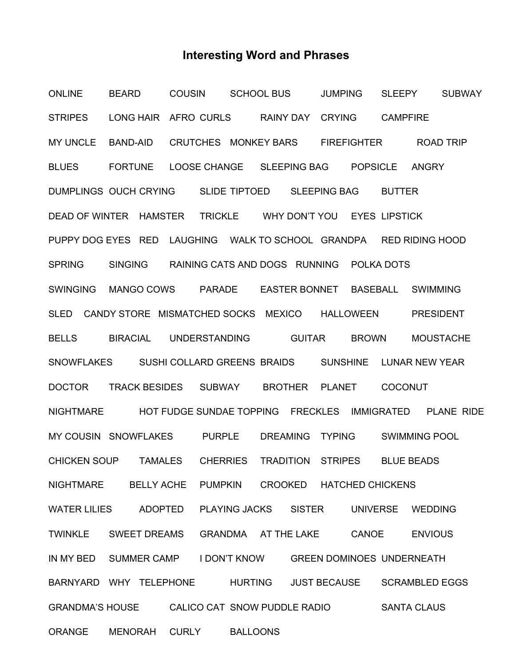### **Interesting Word and Phrases**

ONLINE BEARD COUSIN SCHOOL BUS JUMPING SLEEPY SUBWAY STRIPES LONG HAIR AFRO CURLS RAINY DAY CRYING CAMPFIRE MY UNCLE BAND-AID CRUTCHES MONKEY BARS FIREFIGHTER ROAD TRIP BLUES FORTUNE LOOSE CHANGE SLEEPING BAG POPSICLE ANGRY DUMPLINGS OUCH CRYING SLIDE TIPTOED SLEEPING BAG BUTTER DEAD OF WINTER HAMSTER TRICKLE WHY DON'T YOU EYES LIPSTICK PUPPY DOG EYES RED LAUGHING WALK TO SCHOOL GRANDPA RED RIDING HOOD SPRING SINGING RAINING CATS AND DOGS RUNNING POLKA DOTS SWINGING MANGO COWS PARADE EASTER BONNET BASEBALL SWIMMING SLED CANDY STORE MISMATCHED SOCKS MEXICO HALLOWEEN PRESIDENT BELLS BIRACIAL UNDERSTANDING GUITAR BROWN MOUSTACHE SNOWFLAKES SUSHI COLLARD GREENS BRAIDS SUNSHINE LUNAR NEW YEAR DOCTOR TRACK BESIDES SUBWAY BROTHER PLANET COCONUT NIGHTMARE HOT FUDGE SUNDAE TOPPING FRECKLES IMMIGRATED PLANE RIDE MY COUSIN SNOWFLAKES PURPLE DREAMING TYPING SWIMMING POOL CHICKEN SOUP TAMALES CHERRIES TRADITION STRIPES BLUE BEADS NIGHTMARE BELLY ACHE PUMPKIN CROOKED HATCHED CHICKENS WATER LILIES ADOPTED PLAYING JACKS SISTER UNIVERSE WEDDING TWINKLE SWEET DREAMS GRANDMA AT THE LAKE CANOE ENVIOUS IN MY BED SUMMER CAMP I DON'T KNOW GREEN DOMINOES UNDERNEATH BARNYARD WHY TELEPHONE HURTING JUST BECAUSE SCRAMBLED EGGS GRANDMA'S HOUSE CALICO CAT SNOW PUDDLE RADIO SANTA CLAUS ORANGE MENORAH CURLY BALLOONS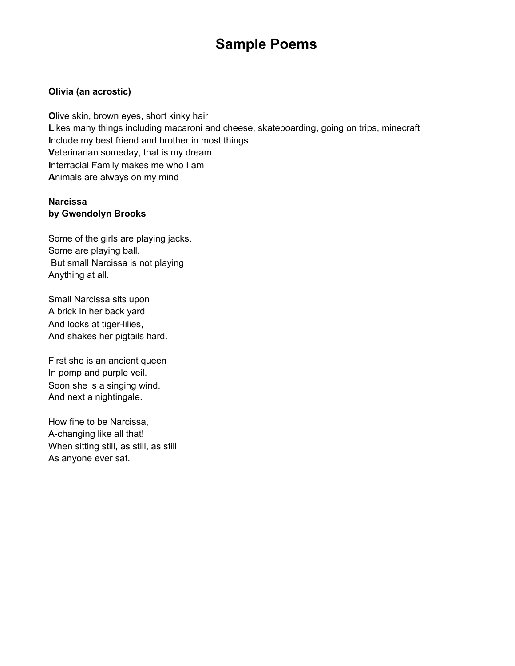# **Sample Poems**

#### **Olivia (an acrostic)**

**O**live skin, brown eyes, short kinky hair **L**ikes many things including macaroni and cheese, skateboarding, going on trips, minecraft **I**nclude my best friend and brother in most things **V**eterinarian someday, that is my dream **I**nterracial Family makes me who I am **A**nimals are always on my mind

#### **Narcissa by Gwendolyn Brooks**

Some of the girls are playing jacks. Some are playing ball. But small Narcissa is not playing Anything at all.

Small Narcissa sits upon A brick in her back yard And looks at tiger-lilies, And shakes her pigtails hard.

First she is an ancient queen In pomp and purple veil. Soon she is a singing wind. And next a nightingale.

How fine to be Narcissa, A-changing like all that! When sitting still, as still, as still As anyone ever sat.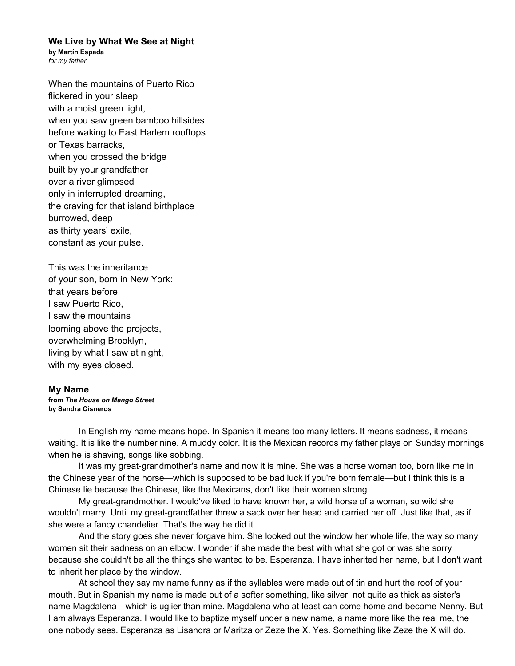#### **We Live by What We See at Night**

**by Martín Espada** *for my father*

When the mountains of Puerto Rico flickered in your sleep with a moist green light, when you saw green bamboo hillsides before waking to East Harlem rooftops or Texas barracks, when you crossed the bridge built by your grandfather over a river glimpsed only in interrupted dreaming, the craving for that island birthplace burrowed, deep as thirty years' exile, constant as your pulse.

This was the inheritance of your son, born in New York: that years before I saw Puerto Rico, I saw the mountains looming above the projects, overwhelming Brooklyn, living by what I saw at night, with my eyes closed.

#### **My Name**

**from** *The House on Mango Street* **by Sandra Cisneros**

In English my name means hope. In Spanish it means too many letters. It means sadness, it means waiting. It is like the number nine. A muddy color. It is the Mexican records my father plays on Sunday mornings when he is shaving, songs like sobbing.

It was my great-grandmother's name and now it is mine. She was a horse woman too, born like me in the Chinese year of the horse—which is supposed to be bad luck if you're born female—but I think this is a Chinese lie because the Chinese, like the Mexicans, don't like their women strong.

My great-grandmother. I would've liked to have known her, a wild horse of a woman, so wild she wouldn't marry. Until my great-grandfather threw a sack over her head and carried her off. Just like that, as if she were a fancy chandelier. That's the way he did it.

And the story goes she never forgave him. She looked out the window her whole life, the way so many women sit their sadness on an elbow. I wonder if she made the best with what she got or was she sorry because she couldn't be all the things she wanted to be. Esperanza. I have inherited her name, but I don't want to inherit her place by the window.

At school they say my name funny as if the syllables were made out of tin and hurt the roof of your mouth. But in Spanish my name is made out of a softer something, like silver, not quite as thick as sister's name Magdalena—which is uglier than mine. Magdalena who at least can come home and become Nenny. But I am always Esperanza. I would like to baptize myself under a new name, a name more like the real me, the one nobody sees. Esperanza as Lisandra or Maritza or Zeze the X. Yes. Something like Zeze the X will do.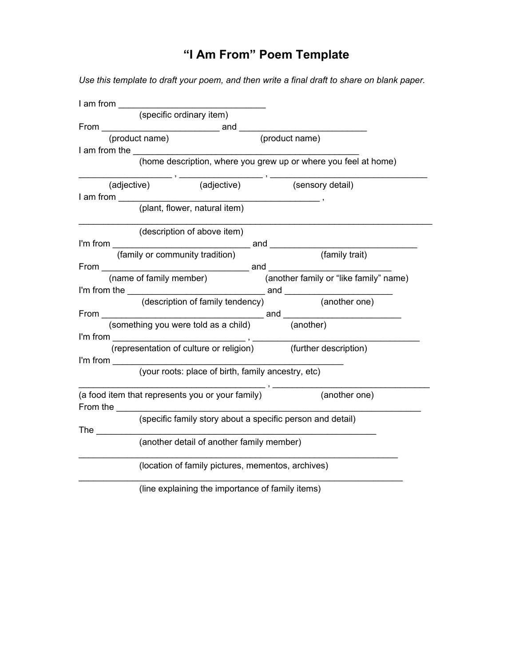# **"I Am From" Poem Template**

*Use this template to draft your poem, and then write a final draft to share on blank paper.*

|            |  | (specific ordinary item)                           |  |  |                                                                                                                                                                                                                                |
|------------|--|----------------------------------------------------|--|--|--------------------------------------------------------------------------------------------------------------------------------------------------------------------------------------------------------------------------------|
|            |  |                                                    |  |  |                                                                                                                                                                                                                                |
|            |  |                                                    |  |  |                                                                                                                                                                                                                                |
|            |  |                                                    |  |  |                                                                                                                                                                                                                                |
|            |  |                                                    |  |  |                                                                                                                                                                                                                                |
|            |  |                                                    |  |  | (adjective) (adjective) (and a series of the series of the series of the series of the series of the series of the series of the series of the series of the series of the series of the series of the series of the series of |
|            |  |                                                    |  |  |                                                                                                                                                                                                                                |
|            |  |                                                    |  |  |                                                                                                                                                                                                                                |
|            |  | (description of above item)                        |  |  |                                                                                                                                                                                                                                |
|            |  |                                                    |  |  |                                                                                                                                                                                                                                |
|            |  |                                                    |  |  | I'm from<br>(family or community tradition) and (family trait) (family trait)                                                                                                                                                  |
|            |  |                                                    |  |  |                                                                                                                                                                                                                                |
|            |  |                                                    |  |  | From (name of family member) and (another family or "like family" name)                                                                                                                                                        |
|            |  |                                                    |  |  |                                                                                                                                                                                                                                |
|            |  |                                                    |  |  | (description of family tendency) (another one)                                                                                                                                                                                 |
|            |  |                                                    |  |  |                                                                                                                                                                                                                                |
|            |  |                                                    |  |  |                                                                                                                                                                                                                                |
|            |  |                                                    |  |  |                                                                                                                                                                                                                                |
|            |  |                                                    |  |  | (representation of culture or religion) (further description)                                                                                                                                                                  |
|            |  | (your roots: place of birth, family ancestry, etc) |  |  |                                                                                                                                                                                                                                |
|            |  |                                                    |  |  |                                                                                                                                                                                                                                |
|            |  |                                                    |  |  | (a food item that represents you or your family) (another one)                                                                                                                                                                 |
|            |  |                                                    |  |  |                                                                                                                                                                                                                                |
|            |  |                                                    |  |  | (specific family story about a specific person and detail)                                                                                                                                                                     |
| The $\_\_$ |  |                                                    |  |  |                                                                                                                                                                                                                                |
|            |  | (another detail of another family member)          |  |  |                                                                                                                                                                                                                                |
|            |  | (location of family pictures, mementos, archives)  |  |  |                                                                                                                                                                                                                                |
|            |  | (line explaining the importance of family items)   |  |  |                                                                                                                                                                                                                                |